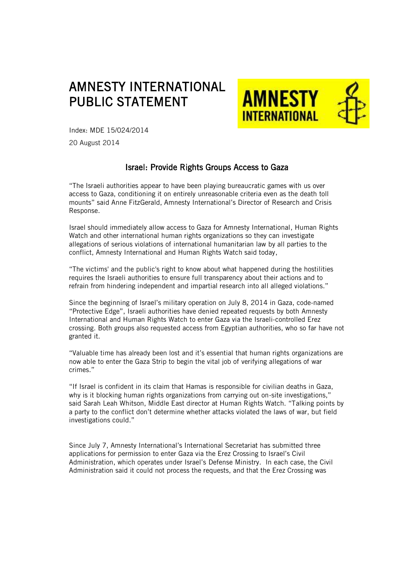## AMNESTY INTERNATIONAL PUBLIC STATEMENT



Index: MDE 15/024/2014

20 August 2014

## Israel: Provide Rights Groups Access to Gaza

"The Israeli authorities appear to have been playing bureaucratic games with us over access to Gaza, conditioning it on entirely unreasonable criteria even as the death toll mounts" said Anne FitzGerald, Amnesty International's Director of Research and Crisis Response.

Israel should immediately allow access to Gaza for Amnesty International, Human Rights Watch and other international human rights organizations so they can investigate allegations of serious violations of international humanitarian law by all parties to the conflict, Amnesty International and Human Rights Watch said today,

"The victims' and the public's right to know about what happened during the hostilities requires the Israeli authorities to ensure full transparency about their actions and to refrain from hindering independent and impartial research into all alleged violations."

Since the beginning of Israel's military operation on July 8, 2014 in Gaza, code-named "Protective Edge", Israeli authorities have denied repeated requests by both Amnesty International and Human Rights Watch to enter Gaza via the Israeli-controlled Erez crossing. Both groups also requested access from Egyptian authorities, who so far have not granted it.

"Valuable time has already been lost and it's essential that human rights organizations are now able to enter the Gaza Strip to begin the vital job of verifying allegations of war crimes."

"If Israel is confident in its claim that Hamas is responsible for civilian deaths in Gaza, why is it blocking human rights organizations from carrying out on-site investigations," said Sarah Leah Whitson, Middle East director at Human Rights Watch. "Talking points by a party to the conflict don't determine whether attacks violated the laws of war, but field investigations could."

Since July 7, Amnesty International's International Secretariat has submitted three applications for permission to enter Gaza via the Erez Crossing to Israel's Civil Administration, which operates under Israel's Defense Ministry. In each case, the Civil Administration said it could not process the requests, and that the Erez Crossing was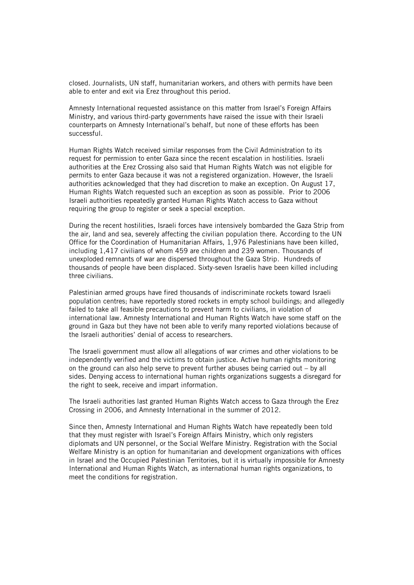closed. Journalists, UN staff, humanitarian workers, and others with permits have been able to enter and exit via Erez throughout this period.

Amnesty International requested assistance on this matter from Israel's Foreign Affairs Ministry, and various third-party governments have raised the issue with their Israeli counterparts on Amnesty International's behalf, but none of these efforts has been successful.

Human Rights Watch received similar responses from the Civil Administration to its request for permission to enter Gaza since the recent escalation in hostilities. Israeli authorities at the Erez Crossing also said that Human Rights Watch was not eligible for permits to enter Gaza because it was not a registered organization. However, the Israeli authorities acknowledged that they had discretion to make an exception. On August 17, Human Rights Watch requested such an exception as soon as possible. Prior to 2006 Israeli authorities repeatedly granted Human Rights Watch access to Gaza without requiring the group to register or seek a special exception.

During the recent hostilities, Israeli forces have intensively bombarded the Gaza Strip from the air, land and sea, severely affecting the civilian population there. According to the UN Office for the Coordination of Humanitarian Affairs, 1,976 Palestinians have been killed, including 1,417 civilians of whom 459 are children and 239 women. Thousands of unexploded remnants of war are dispersed throughout the Gaza Strip. Hundreds of thousands of people have been displaced. Sixty-seven Israelis have been killed including three civilians.

Palestinian armed groups have fired thousands of indiscriminate rockets toward Israeli population centres; have reportedly stored rockets in empty school buildings; and allegedly failed to take all feasible precautions to prevent harm to civilians, in violation of international law. Amnesty International and Human Rights Watch have some staff on the ground in Gaza but they have not been able to verify many reported violations because of the Israeli authorities' denial of access to researchers.

The Israeli government must allow all allegations of war crimes and other violations to be independently verified and the victims to obtain justice. Active human rights monitoring on the ground can also help serve to prevent further abuses being carried out – by all sides. Denying access to international human rights organizations suggests a disregard for the right to seek, receive and impart information.

The Israeli authorities last granted Human Rights Watch access to Gaza through the Erez Crossing in 2006, and Amnesty International in the summer of 2012.

Since then, Amnesty International and Human Rights Watch have repeatedly been told that they must register with Israel's Foreign Affairs Ministry, which only registers diplomats and UN personnel, or the Social Welfare Ministry. Registration with the Social Welfare Ministry is an option for humanitarian and development organizations with offices in Israel and the Occupied Palestinian Territories, but it is virtually impossible for Amnesty International and Human Rights Watch, as international human rights organizations, to meet the conditions for registration.